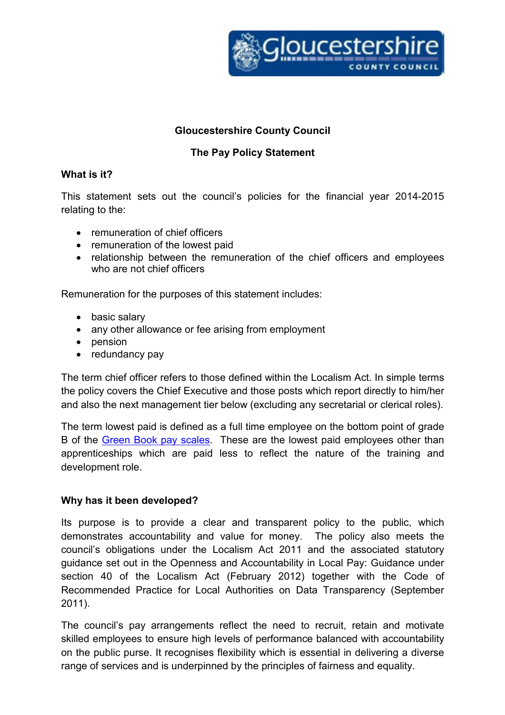

### Gloucestershire County Council

## The Pay Policy Statement

#### What is it?

This statement sets out the council's policies for the financial year 2014-2015 relating to the:

- remuneration of chief officers
- remuneration of the lowest paid
- relationship between the remuneration of the chief officers and employees who are not chief officers

Remuneration for the purposes of this statement includes:

- basic salary
- any other allowance or fee arising from employment
- pension
- redundancy pay

The term chief officer refers to those defined within the Localism Act. In simple terms the policy covers the Chief Executive and those posts which report directly to him/her and also the next management tier below (excluding any secretarial or clerical roles).

The term lowest paid is defined as a full time employee on the bottom point of grade B of the Green Book pay scales. These are the lowest paid employees other than apprenticeships which are paid less to reflect the nature of the training and development role.

#### Why has it been developed?

Its purpose is to provide a clear and transparent policy to the public, which demonstrates accountability and value for money. The policy also meets the council's obligations under the Localism Act 2011 and the associated statutory guidance set out in the Openness and Accountability in Local Pay: Guidance under section 40 of the Localism Act (February 2012) together with the Code of Recommended Practice for Local Authorities on Data Transparency (September 2011).

The council's pay arrangements reflect the need to recruit, retain and motivate skilled employees to ensure high levels of performance balanced with accountability on the public purse. It recognises flexibility which is essential in delivering a diverse range of services and is underpinned by the principles of fairness and equality.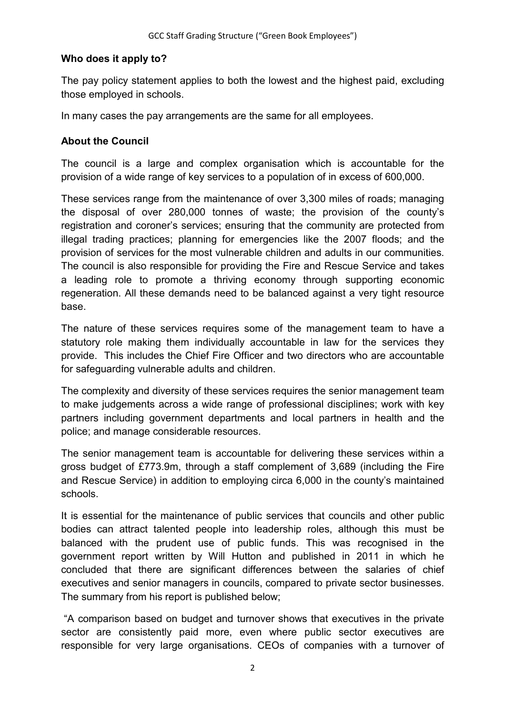### Who does it apply to?

The pay policy statement applies to both the lowest and the highest paid, excluding those employed in schools.

In many cases the pay arrangements are the same for all employees.

## About the Council

The council is a large and complex organisation which is accountable for the provision of a wide range of key services to a population of in excess of 600,000.

These services range from the maintenance of over 3,300 miles of roads; managing the disposal of over 280,000 tonnes of waste; the provision of the county's registration and coroner's services; ensuring that the community are protected from illegal trading practices; planning for emergencies like the 2007 floods; and the provision of services for the most vulnerable children and adults in our communities. The council is also responsible for providing the Fire and Rescue Service and takes a leading role to promote a thriving economy through supporting economic regeneration. All these demands need to be balanced against a very tight resource base.

The nature of these services requires some of the management team to have a statutory role making them individually accountable in law for the services they provide. This includes the Chief Fire Officer and two directors who are accountable for safeguarding vulnerable adults and children.

The complexity and diversity of these services requires the senior management team to make judgements across a wide range of professional disciplines; work with key partners including government departments and local partners in health and the police; and manage considerable resources.

The senior management team is accountable for delivering these services within a gross budget of £773.9m, through a staff complement of 3,689 (including the Fire and Rescue Service) in addition to employing circa 6,000 in the county's maintained schools.

It is essential for the maintenance of public services that councils and other public bodies can attract talented people into leadership roles, although this must be balanced with the prudent use of public funds. This was recognised in the government report written by Will Hutton and published in 2011 in which he concluded that there are significant differences between the salaries of chief executives and senior managers in councils, compared to private sector businesses. The summary from his report is published below;

 "A comparison based on budget and turnover shows that executives in the private sector are consistently paid more, even where public sector executives are responsible for very large organisations. CEOs of companies with a turnover of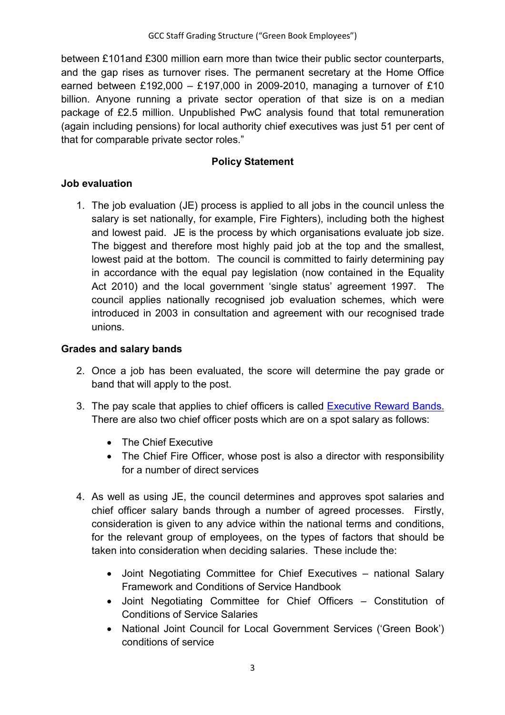between £101and £300 million earn more than twice their public sector counterparts, and the gap rises as turnover rises. The permanent secretary at the Home Office earned between £192,000 – £197,000 in 2009-2010, managing a turnover of £10 billion. Anyone running a private sector operation of that size is on a median package of £2.5 million. Unpublished PwC analysis found that total remuneration (again including pensions) for local authority chief executives was just 51 per cent of that for comparable private sector roles."

### Policy Statement

### Job evaluation

1. The job evaluation (JE) process is applied to all jobs in the council unless the salary is set nationally, for example, Fire Fighters), including both the highest and lowest paid. JE is the process by which organisations evaluate job size. The biggest and therefore most highly paid job at the top and the smallest, lowest paid at the bottom. The council is committed to fairly determining pay in accordance with the equal pay legislation (now contained in the Equality Act 2010) and the local government 'single status' agreement 1997. The council applies nationally recognised job evaluation schemes, which were introduced in 2003 in consultation and agreement with our recognised trade unions.

## Grades and salary bands

- 2. Once a job has been evaluated, the score will determine the pay grade or band that will apply to the post.
- 3. The pay scale that applies to chief officers is called Executive Reward Bands. There are also two chief officer posts which are on a spot salary as follows:
	- The Chief Executive
	- The Chief Fire Officer, whose post is also a director with responsibility for a number of direct services
- 4. As well as using JE, the council determines and approves spot salaries and chief officer salary bands through a number of agreed processes. Firstly, consideration is given to any advice within the national terms and conditions, for the relevant group of employees, on the types of factors that should be taken into consideration when deciding salaries. These include the:
	- Joint Negotiating Committee for Chief Executives national Salary Framework and Conditions of Service Handbook
	- Joint Negotiating Committee for Chief Officers Constitution of Conditions of Service Salaries
	- National Joint Council for Local Government Services ('Green Book') conditions of service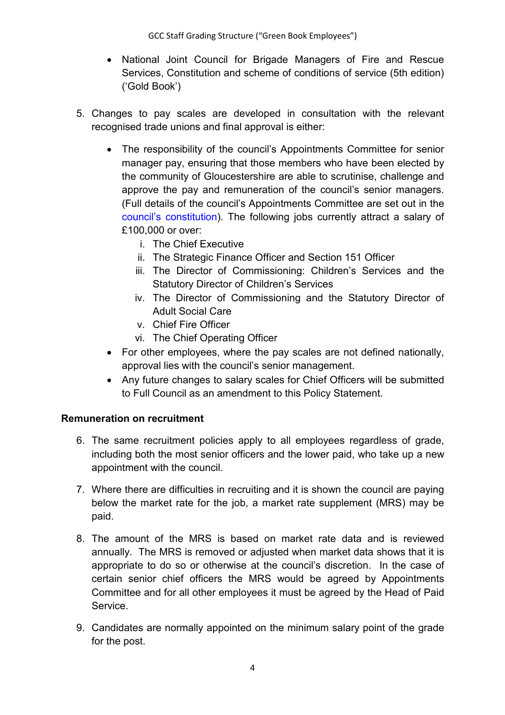GCC Staff Grading Structure ("Green Book Employees")

- National Joint Council for Brigade Managers of Fire and Rescue Services, Constitution and scheme of conditions of service (5th edition) ('Gold Book')
- 5. Changes to pay scales are developed in consultation with the relevant recognised trade unions and final approval is either:
	- The responsibility of the council's Appointments Committee for senior manager pay, ensuring that those members who have been elected by the community of Gloucestershire are able to scrutinise, challenge and approve the pay and remuneration of the council's senior managers. (Full details of the council's Appointments Committee are set out in the council's constitution). The following jobs currently attract a salary of £100,000 or over:
		- i. The Chief Executive
		- ii. The Strategic Finance Officer and Section 151 Officer
		- iii. The Director of Commissioning: Children's Services and the Statutory Director of Children's Services
		- iv. The Director of Commissioning and the Statutory Director of Adult Social Care
		- v. Chief Fire Officer
		- vi. The Chief Operating Officer
	- For other employees, where the pay scales are not defined nationally, approval lies with the council's senior management.
	- Any future changes to salary scales for Chief Officers will be submitted to Full Council as an amendment to this Policy Statement.

### Remuneration on recruitment

- 6. The same recruitment policies apply to all employees regardless of grade, including both the most senior officers and the lower paid, who take up a new appointment with the council.
- 7. Where there are difficulties in recruiting and it is shown the council are paying below the market rate for the job, a market rate supplement (MRS) may be paid.
- 8. The amount of the MRS is based on market rate data and is reviewed annually. The MRS is removed or adjusted when market data shows that it is appropriate to do so or otherwise at the council's discretion. In the case of certain senior chief officers the MRS would be agreed by Appointments Committee and for all other employees it must be agreed by the Head of Paid Service.
- 9. Candidates are normally appointed on the minimum salary point of the grade for the post.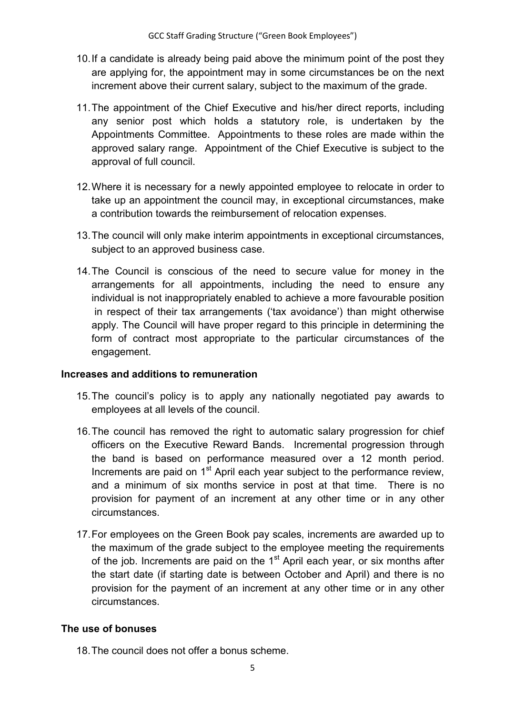- 10. If a candidate is already being paid above the minimum point of the post they are applying for, the appointment may in some circumstances be on the next increment above their current salary, subject to the maximum of the grade.
- 11. The appointment of the Chief Executive and his/her direct reports, including any senior post which holds a statutory role, is undertaken by the Appointments Committee. Appointments to these roles are made within the approved salary range. Appointment of the Chief Executive is subject to the approval of full council.
- 12. Where it is necessary for a newly appointed employee to relocate in order to take up an appointment the council may, in exceptional circumstances, make a contribution towards the reimbursement of relocation expenses.
- 13. The council will only make interim appointments in exceptional circumstances, subject to an approved business case.
- 14. The Council is conscious of the need to secure value for money in the arrangements for all appointments, including the need to ensure any individual is not inappropriately enabled to achieve a more favourable position in respect of their tax arrangements ('tax avoidance') than might otherwise apply. The Council will have proper regard to this principle in determining the form of contract most appropriate to the particular circumstances of the engagement.

### Increases and additions to remuneration

- 15. The council's policy is to apply any nationally negotiated pay awards to employees at all levels of the council.
- 16. The council has removed the right to automatic salary progression for chief officers on the Executive Reward Bands. Incremental progression through the band is based on performance measured over a 12 month period. Increments are paid on 1<sup>st</sup> April each year subject to the performance review, and a minimum of six months service in post at that time. There is no provision for payment of an increment at any other time or in any other circumstances.
- 17. For employees on the Green Book pay scales, increments are awarded up to the maximum of the grade subject to the employee meeting the requirements of the job. Increments are paid on the  $1<sup>st</sup>$  April each year, or six months after the start date (if starting date is between October and April) and there is no provision for the payment of an increment at any other time or in any other circumstances.

### The use of bonuses

18. The council does not offer a bonus scheme.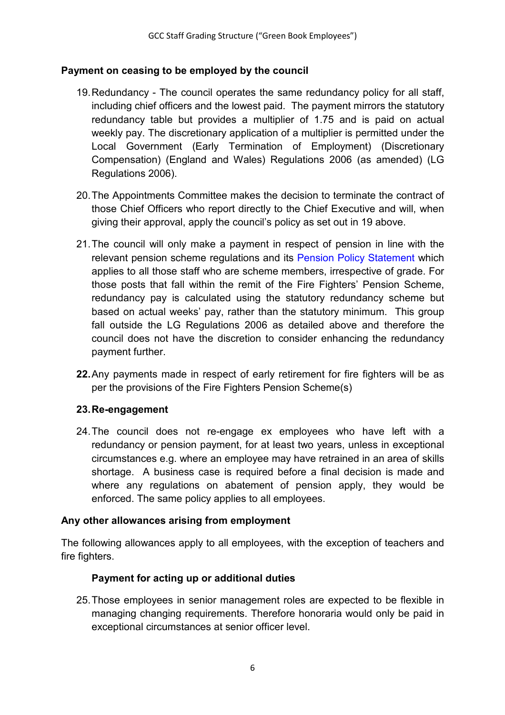## Payment on ceasing to be employed by the council

- 19. Redundancy The council operates the same redundancy policy for all staff, including chief officers and the lowest paid. The payment mirrors the statutory redundancy table but provides a multiplier of 1.75 and is paid on actual weekly pay. The discretionary application of a multiplier is permitted under the Local Government (Early Termination of Employment) (Discretionary Compensation) (England and Wales) Regulations 2006 (as amended) (LG Regulations 2006).
- 20. The Appointments Committee makes the decision to terminate the contract of those Chief Officers who report directly to the Chief Executive and will, when giving their approval, apply the council's policy as set out in 19 above.
- 21. The council will only make a payment in respect of pension in line with the relevant pension scheme regulations and its Pension Policy Statement which applies to all those staff who are scheme members, irrespective of grade. For those posts that fall within the remit of the Fire Fighters' Pension Scheme, redundancy pay is calculated using the statutory redundancy scheme but based on actual weeks' pay, rather than the statutory minimum. This group fall outside the LG Regulations 2006 as detailed above and therefore the council does not have the discretion to consider enhancing the redundancy payment further.
- 22. Any payments made in respect of early retirement for fire fighters will be as per the provisions of the Fire Fighters Pension Scheme(s)

### 23. Re-engagement

24. The council does not re-engage ex employees who have left with a redundancy or pension payment, for at least two years, unless in exceptional circumstances e.g. where an employee may have retrained in an area of skills shortage. A business case is required before a final decision is made and where any regulations on abatement of pension apply, they would be enforced. The same policy applies to all employees.

### Any other allowances arising from employment

The following allowances apply to all employees, with the exception of teachers and fire fighters.

## Payment for acting up or additional duties

25. Those employees in senior management roles are expected to be flexible in managing changing requirements. Therefore honoraria would only be paid in exceptional circumstances at senior officer level.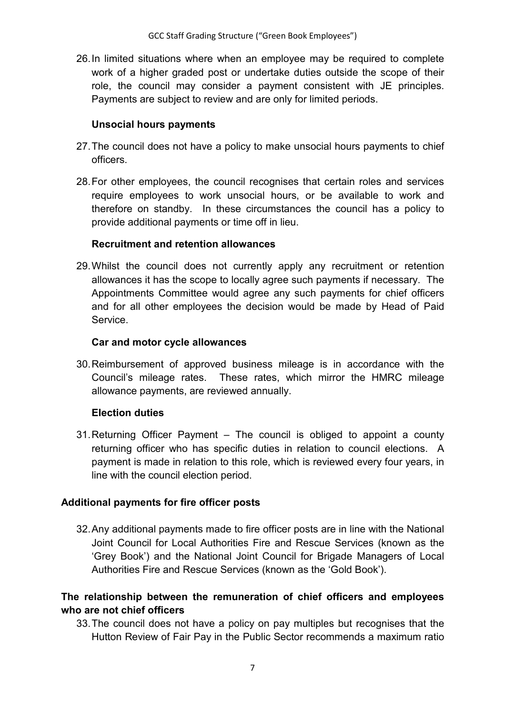26. In limited situations where when an employee may be required to complete work of a higher graded post or undertake duties outside the scope of their role, the council may consider a payment consistent with JE principles. Payments are subject to review and are only for limited periods.

### Unsocial hours payments

- 27. The council does not have a policy to make unsocial hours payments to chief officers.
- 28. For other employees, the council recognises that certain roles and services require employees to work unsocial hours, or be available to work and therefore on standby. In these circumstances the council has a policy to provide additional payments or time off in lieu.

## Recruitment and retention allowances

29. Whilst the council does not currently apply any recruitment or retention allowances it has the scope to locally agree such payments if necessary. The Appointments Committee would agree any such payments for chief officers and for all other employees the decision would be made by Head of Paid Service.

## Car and motor cycle allowances

30. Reimbursement of approved business mileage is in accordance with the Council's mileage rates. These rates, which mirror the HMRC mileage allowance payments, are reviewed annually.

## Election duties

31. Returning Officer Payment – The council is obliged to appoint a county returning officer who has specific duties in relation to council elections. A payment is made in relation to this role, which is reviewed every four years, in line with the council election period.

## Additional payments for fire officer posts

32. Any additional payments made to fire officer posts are in line with the National Joint Council for Local Authorities Fire and Rescue Services (known as the 'Grey Book') and the National Joint Council for Brigade Managers of Local Authorities Fire and Rescue Services (known as the 'Gold Book').

## The relationship between the remuneration of chief officers and employees who are not chief officers

33. The council does not have a policy on pay multiples but recognises that the Hutton Review of Fair Pay in the Public Sector recommends a maximum ratio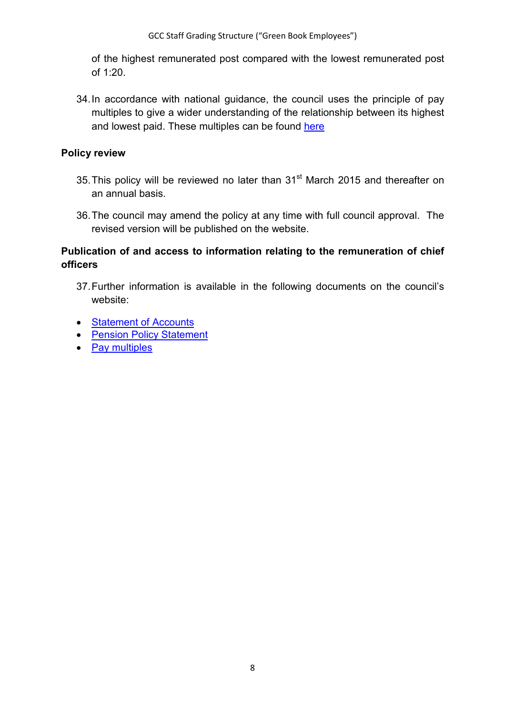of the highest remunerated post compared with the lowest remunerated post of 1:20.

34. In accordance with national guidance, the council uses the principle of pay multiples to give a wider understanding of the relationship between its highest and lowest paid. These multiples can be found here

#### Policy review

- 35. This policy will be reviewed no later than 31<sup>st</sup> March 2015 and thereafter on an annual basis.
- 36. The council may amend the policy at any time with full council approval. The revised version will be published on the website.

## Publication of and access to information relating to the remuneration of chief officers

- 37. Further information is available in the following documents on the council's website:
- Statement of Accounts
- Pension Policy Statement
- Pay multiples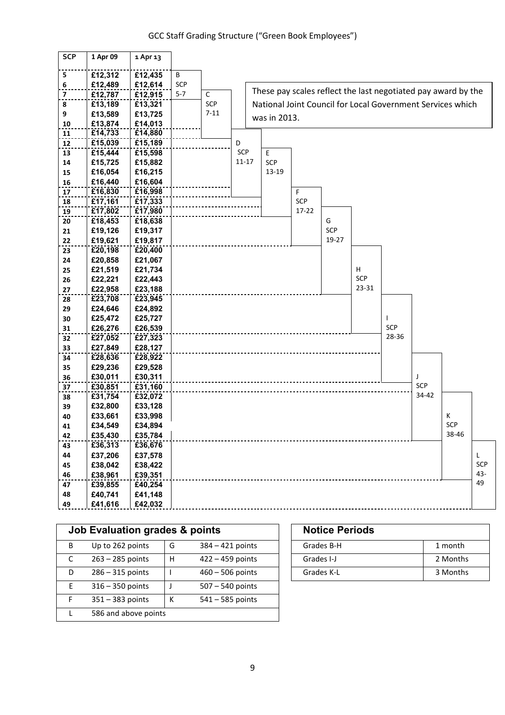| <b>SCP</b>              | 1 Apr 09           | 1 Apr 13           |         |             |           |              |            |       |       |            |              |                                                               |          |
|-------------------------|--------------------|--------------------|---------|-------------|-----------|--------------|------------|-------|-------|------------|--------------|---------------------------------------------------------------|----------|
| 5                       | £12,312            | £12,435            | B       |             |           |              |            |       |       |            |              |                                                               |          |
| 6                       | £12,489            | £12,614            | SCP     |             |           |              |            |       |       |            |              |                                                               |          |
| $\overline{\mathbf{z}}$ | £12,787            | £12,915            | $5 - 7$ | $\mathsf C$ |           |              |            |       |       |            |              | These pay scales reflect the last negotiated pay award by the |          |
| 8                       | £13,189            | £13,321            |         | <b>SCP</b>  |           |              |            |       |       |            |              | National Joint Council for Local Government Services which    |          |
| 9                       | £13,589            | £13,725            |         | $7 - 11$    |           |              |            |       |       |            |              |                                                               |          |
| 10                      | £13,874            | £14,013            |         |             |           | was in 2013. |            |       |       |            |              |                                                               |          |
| 11                      | £14,733            | £14,880            |         |             |           |              |            |       |       |            |              |                                                               |          |
| ${\bf 12}$              | £15,039            | £15,189            |         |             | D         |              |            |       |       |            |              |                                                               |          |
| 13                      | £15,444            | £15,598            |         |             | SCP       | E            |            |       |       |            |              |                                                               |          |
| 14                      | £15,725            | £15,882            |         |             | $11 - 17$ | SCP          |            |       |       |            |              |                                                               |          |
| 15                      | £16,054            | £16,215            |         |             |           | 13-19        |            |       |       |            |              |                                                               |          |
| 16                      | £16,440            | £16,604            |         |             |           |              |            |       |       |            |              |                                                               |          |
| 17                      | £16,830            | £16,998            |         |             |           |              | F          |       |       |            |              |                                                               |          |
| 18                      | £17,161            | £17,333            |         |             |           |              | <b>SCP</b> |       |       |            |              |                                                               |          |
| 19                      | £17,802            | £17,980            |         |             |           |              | $17 - 22$  |       |       |            |              |                                                               |          |
| 20                      | £18,453            | £18,638            |         |             |           |              |            | G     |       |            |              |                                                               |          |
| 21                      | £19,126            | £19,317            |         |             |           |              |            | SCP   |       |            |              |                                                               |          |
| 22                      | £19,621            | £19,817            |         |             |           |              |            | 19-27 |       |            |              |                                                               |          |
| 23                      | £20,198            | £20,400            |         |             |           |              |            |       |       |            |              |                                                               |          |
| 24                      | £20,858            | £21,067            |         |             |           |              |            |       |       |            |              |                                                               |          |
| 25                      | £21,519            | £21,734            |         |             |           |              |            |       | H     |            |              |                                                               |          |
| 26                      | £22,221            | £22,443            |         |             |           |              |            |       | SCP   |            |              |                                                               |          |
| 27                      | £22,958            | £23,188            |         |             |           |              |            |       | 23-31 |            |              |                                                               |          |
| 28                      | £23,708            | £23,945            |         |             |           |              |            |       |       |            |              |                                                               |          |
| 29                      | £24,646            | £24,892            |         |             |           |              |            |       |       |            |              |                                                               |          |
| 30                      | £25,472            | £25,727            |         |             |           |              |            |       |       |            |              |                                                               |          |
| 31                      | £26,276            | £26,539            |         |             |           |              |            |       |       | <b>SCP</b> |              |                                                               |          |
| 32                      | £27,052            | £27,323            |         |             |           |              |            |       |       | 28-36      |              |                                                               |          |
| 33                      | £27,849            | £28,127            |         |             |           |              |            |       |       |            |              |                                                               |          |
| 34                      | £28,636            | £28,922            |         |             |           |              |            |       |       |            |              |                                                               |          |
| 35                      | £29,236            | £29,528            |         |             |           |              |            |       |       |            |              |                                                               |          |
| 36                      | £30,011            | £30,311            |         |             |           |              |            |       |       |            |              |                                                               |          |
| 37                      | £30,851            | £31,160            |         |             |           |              |            |       |       |            | SCP<br>34-42 |                                                               |          |
| 38                      | £31,754            | £32,072            |         |             |           |              |            |       |       |            |              |                                                               |          |
| 39                      | £32,800            | £33,128            |         |             |           |              |            |       |       |            |              |                                                               |          |
| 40                      | £33,661            | £33,998            |         |             |           |              |            |       |       |            |              | K<br><b>SCP</b>                                               |          |
| 41                      | £34,549            | £34,894            |         |             |           |              |            |       |       |            |              |                                                               |          |
| 42                      | £35,430            | £35,784            |         |             |           |              |            |       |       |            |              | 38-46                                                         |          |
| 43                      | £36,313            | £36,676            |         |             |           |              |            |       |       |            |              |                                                               |          |
| 44                      | £37,206            | £37,578            |         |             |           |              |            |       |       |            |              |                                                               | L<br>SCP |
| 45                      | £38,042<br>£38,961 | £38,422<br>£39,351 |         |             |           |              |            |       |       |            |              |                                                               | 43-      |
| 46                      |                    |                    |         |             |           |              |            |       |       |            |              |                                                               | 49       |
| 47                      | £39,855            | £40,254            |         |             |           |              |            |       |       |            |              |                                                               |          |
| 48<br>49                | £40,741            | £41,148            |         |             |           |              |            |       |       |            |              |                                                               |          |
|                         | £41,616            | £42,032            |         |             |           |              |            |       |       |            |              |                                                               |          |

|   | Job Evaluation grades & points |   |                    | <b>Notice Periods</b> |          |  |
|---|--------------------------------|---|--------------------|-----------------------|----------|--|
| B | Up to 262 points               | G | $384 - 421$ points | Grades B-H            | 1 month  |  |
| C | $263 - 285$ points             | н | $422 - 459$ points | Grades I-J            | 2 Months |  |
| D | $286 - 315$ points             |   | $460 - 506$ points | Grades K-L            | 3 Months |  |
| E | $316 - 350$ points             |   | $507 - 540$ points |                       |          |  |
| F | $351 - 383$ points             | К | $541 - 585$ points |                       |          |  |
|   | 586 and above points           |   |                    |                       |          |  |

| <b>Notice Periods</b> |          |
|-----------------------|----------|
| Grades B-H            | 1 month  |
| Grades I-J            | 2 Months |
| Grades K-L            | 3 Months |